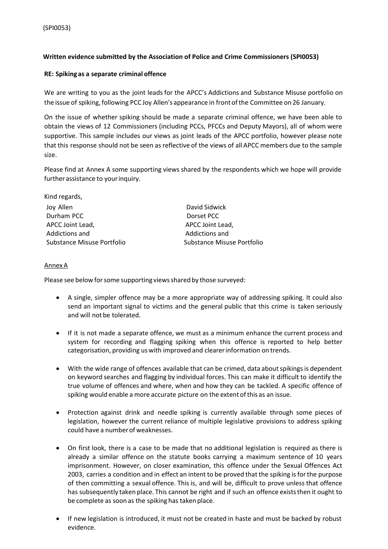## **Written evidence submitted by the Association of Police and Crime Commissioners (SPI0053)**

## **RE: Spiking as a separate criminal offence**

We are writing to you as the joint leads for the APCC's Addictions and Substance Misuse portfolio on the issue of spiking, following PCC Joy Allen's appearance in front ofthe Committee on 26 January.

On the issue of whether spiking should be made a separate criminal offence, we have been able to obtain the views of 12 Commissioners (including PCCs, PFCCs and Deputy Mayors), all of whom were supportive. This sample includes our views as joint leads of the APCC portfolio, however please note that this response should not be seen as reflective of the views of all APCC members due to the sample size.

Please find at Annex A some supporting views shared by the respondents which we hope will provide further assistance to your inquiry.

| David Sidwick              |
|----------------------------|
| Dorset PCC                 |
| APCC Joint Lead,           |
| Addictions and             |
| Substance Misuse Portfolio |
|                            |

## AnnexA

Please see below for some supporting views shared by those surveyed:

- A single, simpler offence may be a more appropriate way of addressing spiking. It could also send an important signal to victims and the general public that this crime is taken seriously and will not be tolerated.
- If it is not made a separate offence, we must as a minimum enhance the current process and system for recording and flagging spiking when this offence is reported to help better categorisation, providing uswith improved and clearerinformation on trends.
- With the wide range of offences available that can be crimed, data about spikings is dependent on keyword searches and flagging by individual forces. This can make it difficult to identify the true volume of offences and where, when and how they can be tackled. A specific offence of spiking would enable a more accurate picture on the extent of this as an issue.
- Protection against drink and needle spiking is currently available through some pieces of legislation, however the current reliance of multiple legislative provisions to address spiking could have a numberof weaknesses.
- On first look, there is a case to be made that no additional legislation is required as there is already a similar offence on the statute books carrying a maximum sentence of 10 years imprisonment. However, on closer examination, this offence under the Sexual Offences Act 2003, carries a condition and in effect an intent to be proved that the spiking is for the purpose of then committing a sexual offence. This is, and will be, difficult to prove unless that offence has subsequently taken place. This cannot be right and if such an offence exists then it ought to be complete as soon as the spiking has taken place.
- If new legislation is introduced, it must not be created in haste and must be backed by robust evidence.